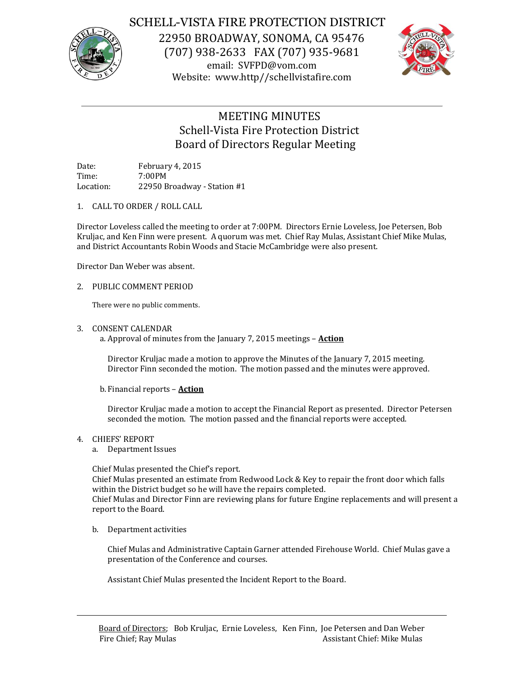

## SCHELL-VISTA FIRE PROTECTION DISTRICT

22950 BROADWAY, SONOMA, CA 95476 (707) 938-2633 FAX (707) 935-9681 email: SVFPD@vom.com Website: www.http//schellvistafire.com



# MEETING MINUTES Schell-Vista Fire Protection District Board of Directors Regular Meeting

Date: February 4, 2015 Time: 7:00PM Location: 22950 Broadway - Station #1

1. CALL TO ORDER / ROLL CALL

Director Loveless called the meeting to order at 7:00PM. Directors Ernie Loveless, Joe Petersen, Bob Kruljac, and Ken Finn were present. A quorum was met. Chief Ray Mulas, Assistant Chief Mike Mulas, and District Accountants Robin Woods and Stacie McCambridge were also present.

Director Dan Weber was absent.

#### 2. PUBLIC COMMENT PERIOD

There were no public comments.

#### 3. CONSENT CALENDAR

a. Approval of minutes from the January 7, 2015 meetings – **Action**

Director Kruljac made a motion to approve the Minutes of the January 7, 2015 meeting. Director Finn seconded the motion. The motion passed and the minutes were approved.

b. Financial reports – **Action**

Director Kruljac made a motion to accept the Financial Report as presented. Director Petersen seconded the motion. The motion passed and the financial reports were accepted.

- 4. CHIEFS' REPORT
	- a. Department Issues

Chief Mulas presented the Chief's report.

Chief Mulas presented an estimate from Redwood Lock & Key to repair the front door which falls within the District budget so he will have the repairs completed.

Chief Mulas and Director Finn are reviewing plans for future Engine replacements and will present a report to the Board.

b. Department activities

Chief Mulas and Administrative Captain Garner attended Firehouse World. Chief Mulas gave a presentation of the Conference and courses.

Assistant Chief Mulas presented the Incident Report to the Board.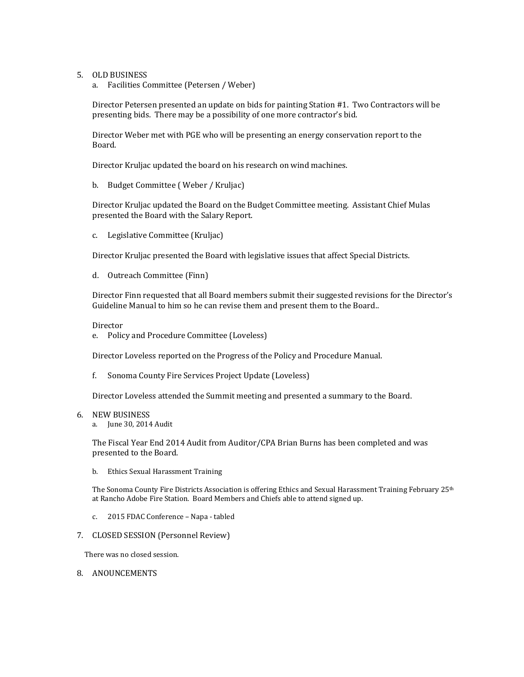- 5. OLD BUSINESS
	- a. Facilities Committee (Petersen / Weber)

Director Petersen presented an update on bids for painting Station #1. Two Contractors will be presenting bids. There may be a possibility of one more contractor's bid.

Director Weber met with PGE who will be presenting an energy conservation report to the Board.

Director Kruljac updated the board on his research on wind machines.

b. Budget Committee ( Weber / Kruljac)

Director Kruljac updated the Board on the Budget Committee meeting. Assistant Chief Mulas presented the Board with the Salary Report.

c. Legislative Committee (Kruljac)

Director Kruljac presented the Board with legislative issues that affect Special Districts.

d. Outreach Committee (Finn)

Director Finn requested that all Board members submit their suggested revisions for the Director's Guideline Manual to him so he can revise them and present them to the Board..

Director

e. Policy and Procedure Committee (Loveless)

Director Loveless reported on the Progress of the Policy and Procedure Manual.

f. Sonoma County Fire Services Project Update (Loveless)

Director Loveless attended the Summit meeting and presented a summary to the Board.

#### 6. NEW BUSINESS

a. June 30, 2014 Audit

The Fiscal Year End 2014 Audit from Auditor/CPA Brian Burns has been completed and was presented to the Board.

b. Ethics Sexual Harassment Training

The Sonoma County Fire Districts Association is offering Ethics and Sexual Harassment Training February 25<sup>th</sup> at Rancho Adobe Fire Station. Board Members and Chiefs able to attend signed up.

- c. 2015 FDAC Conference Napa tabled
- 7. CLOSED SESSION (Personnel Review)

There was no closed session.

8. ANOUNCEMENTS